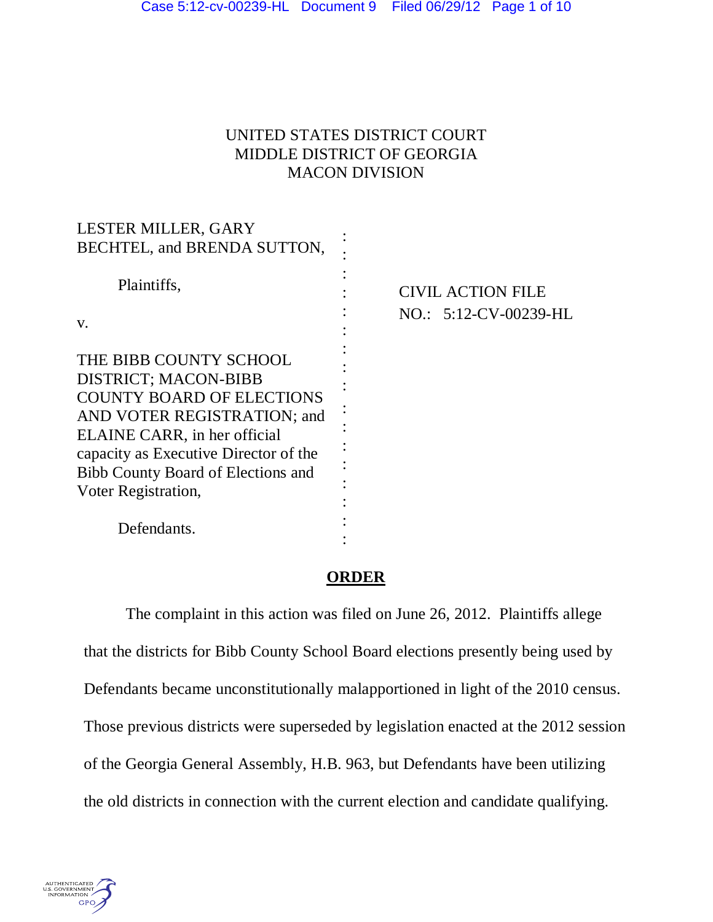#### UNITED STATES DISTRICT COURT MIDDLE DISTRICT OF GEORGIA MACON DIVISION

| LESTER MILLER, GARY                   |                          |
|---------------------------------------|--------------------------|
| BECHTEL, and BRENDA SUTTON,           |                          |
| Plaintiffs,                           | <b>CIVIL ACTION FILE</b> |
| V.                                    | NO.: 5:12-CV-00239-HL    |
| THE BIBB COUNTY SCHOOL                |                          |
| <b>DISTRICT; MACON-BIBB</b>           |                          |
| <b>COUNTY BOARD OF ELECTIONS</b>      |                          |
| AND VOTER REGISTRATION; and           |                          |
| ELAINE CARR, in her official          |                          |
| capacity as Executive Director of the |                          |
| Bibb County Board of Elections and    |                          |
| Voter Registration,                   |                          |
| Defendants.                           |                          |

#### **ORDER**

 The complaint in this action was filed on June 26, 2012. Plaintiffs allege that the districts for Bibb County School Board elections presently being used by Defendants became unconstitutionally malapportioned in light of the 2010 census. Those previous districts were superseded by legislation enacted at the 2012 session of the Georgia General Assembly, H.B. 963, but Defendants have been utilizing the old districts in connection with the current election and candidate qualifying.

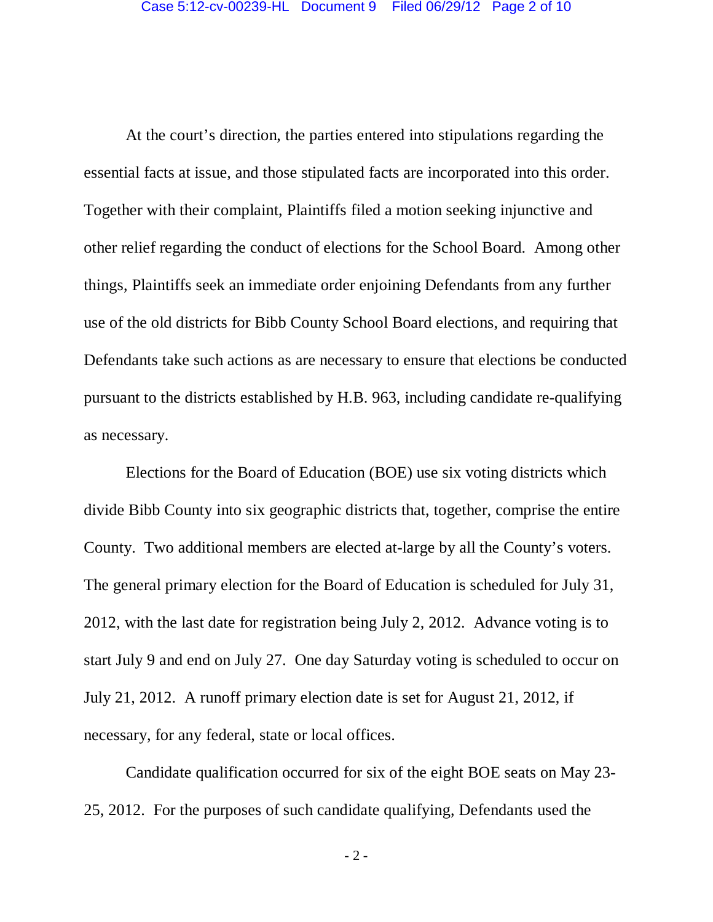At the court's direction, the parties entered into stipulations regarding the essential facts at issue, and those stipulated facts are incorporated into this order. Together with their complaint, Plaintiffs filed a motion seeking injunctive and other relief regarding the conduct of elections for the School Board. Among other things, Plaintiffs seek an immediate order enjoining Defendants from any further use of the old districts for Bibb County School Board elections, and requiring that Defendants take such actions as are necessary to ensure that elections be conducted pursuant to the districts established by H.B. 963, including candidate re-qualifying as necessary.

 Elections for the Board of Education (BOE) use six voting districts which divide Bibb County into six geographic districts that, together, comprise the entire County. Two additional members are elected at-large by all the County's voters. The general primary election for the Board of Education is scheduled for July 31, 2012, with the last date for registration being July 2, 2012. Advance voting is to start July 9 and end on July 27. One day Saturday voting is scheduled to occur on July 21, 2012. A runoff primary election date is set for August 21, 2012, if necessary, for any federal, state or local offices.

 Candidate qualification occurred for six of the eight BOE seats on May 23- 25, 2012. For the purposes of such candidate qualifying, Defendants used the

- 2 -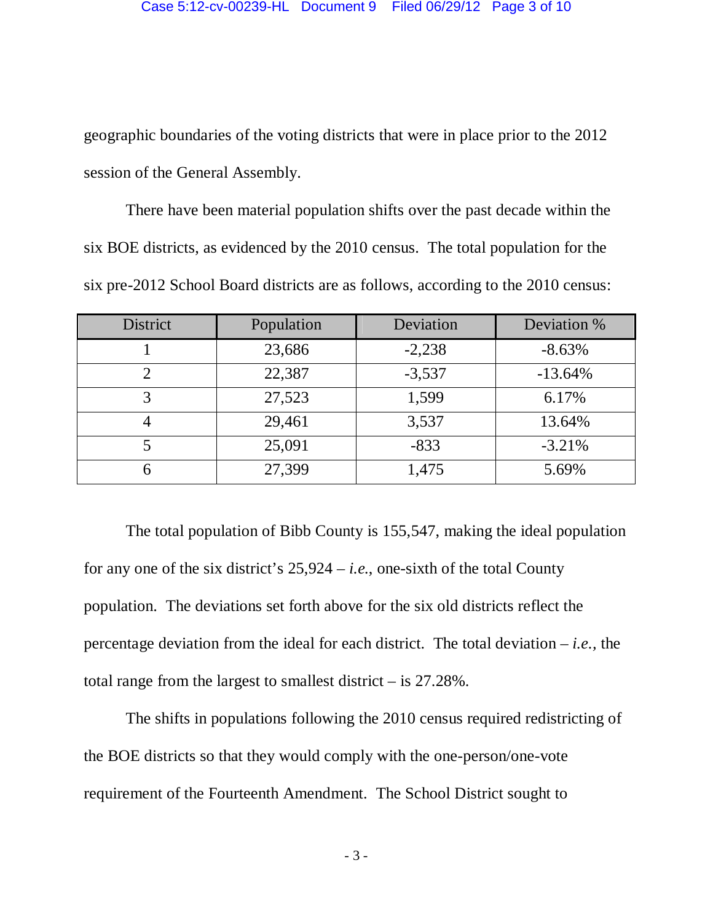geographic boundaries of the voting districts that were in place prior to the 2012 session of the General Assembly.

 There have been material population shifts over the past decade within the six BOE districts, as evidenced by the 2010 census. The total population for the six pre-2012 School Board districts are as follows, according to the 2010 census:

| <b>District</b> | Population | Deviation | Deviation % |
|-----------------|------------|-----------|-------------|
|                 | 23,686     | $-2,238$  | $-8.63%$    |
|                 | 22,387     | $-3,537$  | $-13.64%$   |
| 3               | 27,523     | 1,599     | 6.17%       |
|                 | 29,461     | 3,537     | 13.64%      |
|                 | 25,091     | $-833$    | $-3.21%$    |
|                 | 27,399     | 1,475     | 5.69%       |

 The total population of Bibb County is 155,547, making the ideal population for any one of the six district's 25,924 – *i.e.*, one-sixth of the total County population. The deviations set forth above for the six old districts reflect the percentage deviation from the ideal for each district. The total deviation – *i.e.,* the total range from the largest to smallest district – is 27.28%.

 The shifts in populations following the 2010 census required redistricting of the BOE districts so that they would comply with the one-person/one-vote requirement of the Fourteenth Amendment. The School District sought to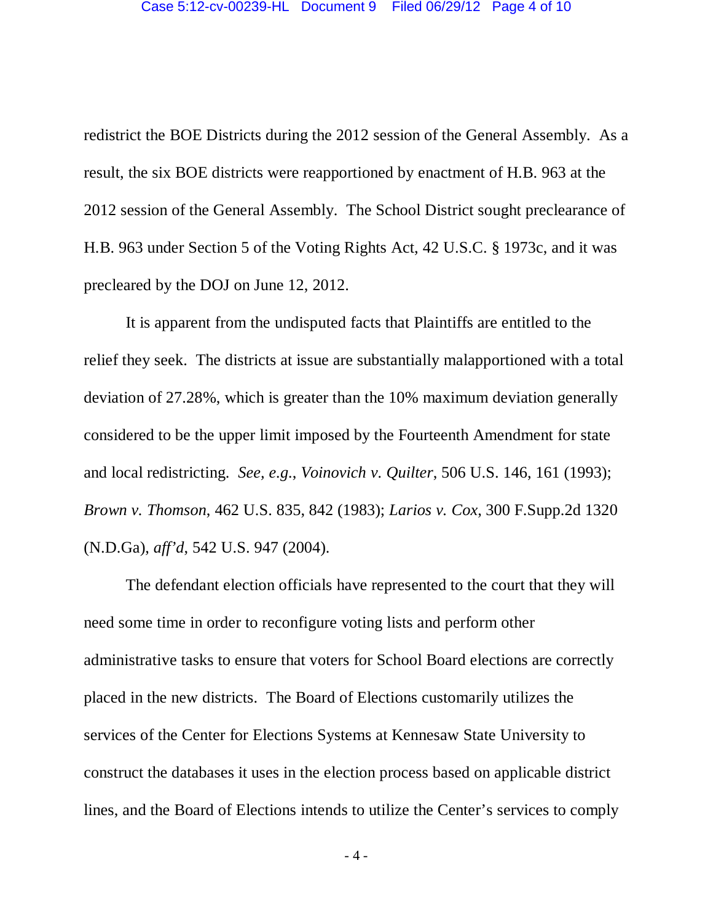redistrict the BOE Districts during the 2012 session of the General Assembly. As a result, the six BOE districts were reapportioned by enactment of H.B. 963 at the 2012 session of the General Assembly. The School District sought preclearance of H.B. 963 under Section 5 of the Voting Rights Act, 42 U.S.C. § 1973c, and it was precleared by the DOJ on June 12, 2012.

 It is apparent from the undisputed facts that Plaintiffs are entitled to the relief they seek. The districts at issue are substantially malapportioned with a total deviation of 27.28%, which is greater than the 10% maximum deviation generally considered to be the upper limit imposed by the Fourteenth Amendment for state and local redistricting. *See, e.g.*, *Voinovich v. Quilter*, 506 U.S. 146, 161 (1993); *Brown v. Thomson*, 462 U.S. 835, 842 (1983); *Larios v. Cox*, 300 F.Supp.2d 1320 (N.D.Ga), *aff'd*, 542 U.S. 947 (2004).

 The defendant election officials have represented to the court that they will need some time in order to reconfigure voting lists and perform other administrative tasks to ensure that voters for School Board elections are correctly placed in the new districts. The Board of Elections customarily utilizes the services of the Center for Elections Systems at Kennesaw State University to construct the databases it uses in the election process based on applicable district lines, and the Board of Elections intends to utilize the Center's services to comply

- 4 -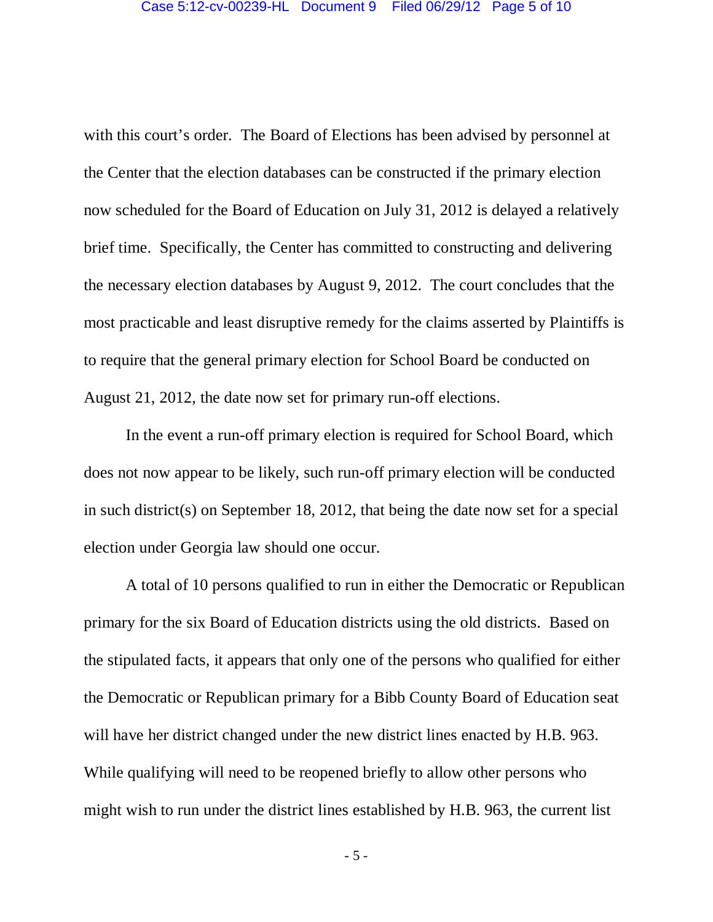with this court's order. The Board of Elections has been advised by personnel at the Center that the election databases can be constructed if the primary election now scheduled for the Board of Education on July 31, 2012 is delayed a relatively brief time. Specifically, the Center has committed to constructing and delivering the necessary election databases by August 9, 2012. The court concludes that the most practicable and least disruptive remedy for the claims asserted by Plaintiffs is to require that the general primary election for School Board be conducted on August 21, 2012, the date now set for primary run-off elections.

 In the event a run-off primary election is required for School Board, which does not now appear to be likely, such run-off primary election will be conducted in such district(s) on September 18, 2012, that being the date now set for a special election under Georgia law should one occur.

 A total of 10 persons qualified to run in either the Democratic or Republican primary for the six Board of Education districts using the old districts. Based on the stipulated facts, it appears that only one of the persons who qualified for either the Democratic or Republican primary for a Bibb County Board of Education seat will have her district changed under the new district lines enacted by H.B. 963. While qualifying will need to be reopened briefly to allow other persons who might wish to run under the district lines established by H.B. 963, the current list

- 5 -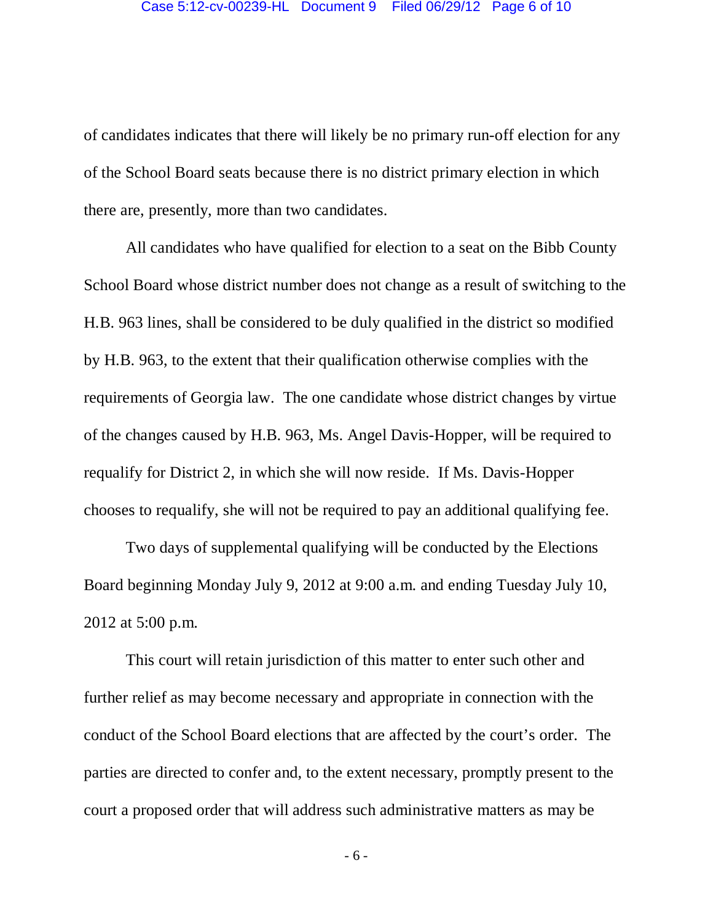of candidates indicates that there will likely be no primary run-off election for any of the School Board seats because there is no district primary election in which there are, presently, more than two candidates.

 All candidates who have qualified for election to a seat on the Bibb County School Board whose district number does not change as a result of switching to the H.B. 963 lines, shall be considered to be duly qualified in the district so modified by H.B. 963, to the extent that their qualification otherwise complies with the requirements of Georgia law. The one candidate whose district changes by virtue of the changes caused by H.B. 963, Ms. Angel Davis-Hopper, will be required to requalify for District 2, in which she will now reside. If Ms. Davis-Hopper chooses to requalify, she will not be required to pay an additional qualifying fee.

 Two days of supplemental qualifying will be conducted by the Elections Board beginning Monday July 9, 2012 at 9:00 a.m. and ending Tuesday July 10, 2012 at 5:00 p.m.

 This court will retain jurisdiction of this matter to enter such other and further relief as may become necessary and appropriate in connection with the conduct of the School Board elections that are affected by the court's order. The parties are directed to confer and, to the extent necessary, promptly present to the court a proposed order that will address such administrative matters as may be

- 6 -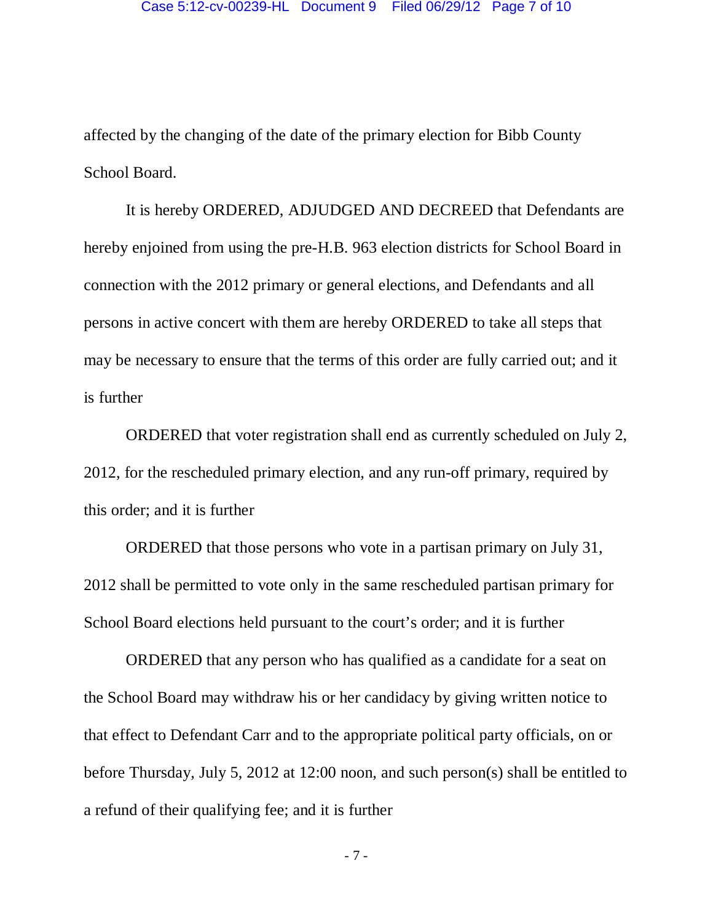affected by the changing of the date of the primary election for Bibb County School Board.

 It is hereby ORDERED, ADJUDGED AND DECREED that Defendants are hereby enjoined from using the pre-H.B. 963 election districts for School Board in connection with the 2012 primary or general elections, and Defendants and all persons in active concert with them are hereby ORDERED to take all steps that may be necessary to ensure that the terms of this order are fully carried out; and it is further

 ORDERED that voter registration shall end as currently scheduled on July 2, 2012, for the rescheduled primary election, and any run-off primary, required by this order; and it is further

 ORDERED that those persons who vote in a partisan primary on July 31, 2012 shall be permitted to vote only in the same rescheduled partisan primary for School Board elections held pursuant to the court's order; and it is further

 ORDERED that any person who has qualified as a candidate for a seat on the School Board may withdraw his or her candidacy by giving written notice to that effect to Defendant Carr and to the appropriate political party officials, on or before Thursday, July 5, 2012 at 12:00 noon, and such person(s) shall be entitled to a refund of their qualifying fee; and it is further

- 7 -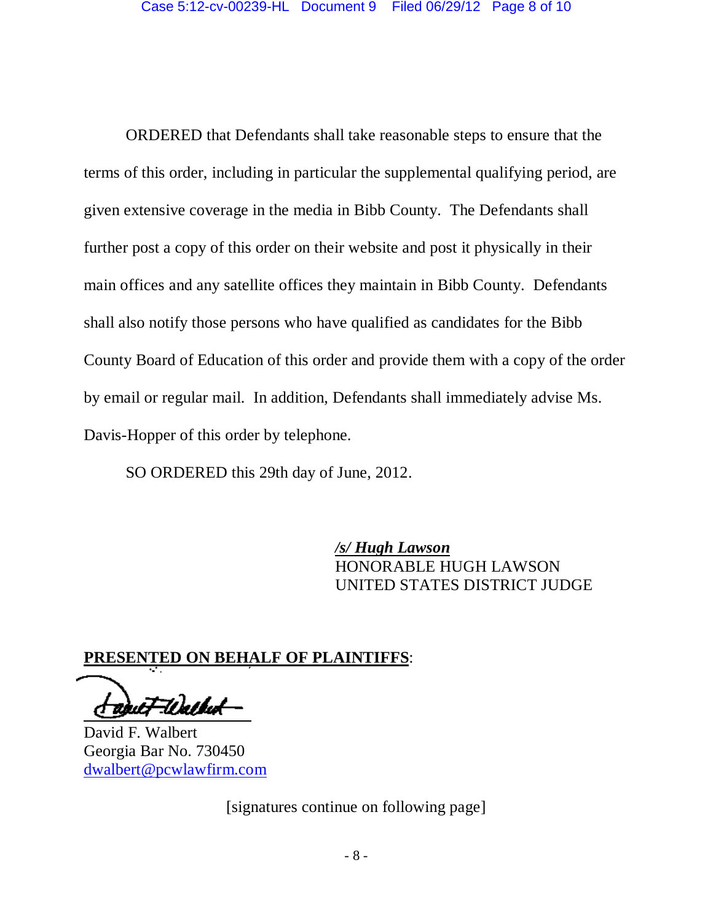ORDERED that Defendants shall take reasonable steps to ensure that the terms of this order, including in particular the supplemental qualifying period, are given extensive coverage in the media in Bibb County. The Defendants shall further post a copy of this order on their website and post it physically in their main offices and any satellite offices they maintain in Bibb County. Defendants shall also notify those persons who have qualified as candidates for the Bibb County Board of Education of this order and provide them with a copy of the order by email or regular mail. In addition, Defendants shall immediately advise Ms. Davis-Hopper of this order by telephone.

SO ORDERED this 29th day of June, 2012.

 */s/ Hugh Lawson*  HONORABLE HUGH LAWSON UNITED STATES DISTRICT JUDGE

#### **PRESENTED ON BEHALF OF PLAINTIFFS**:

:Uatlat l,

David F. Walbert Georgia Bar No. 730450 dwalbert@pcwlawfirm.com

[signatures continue on following page]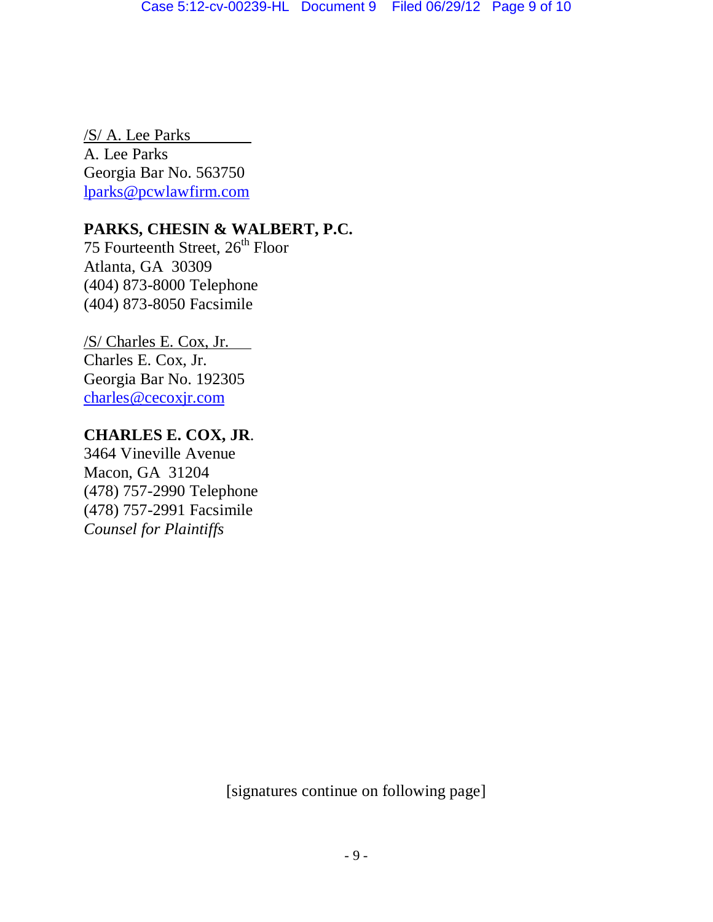/S/ A. Lee Parks A. Lee Parks Georgia Bar No. 563750 lparks@pcwlawfirm.com

# **PARKS, CHESIN & WALBERT, P.C.**

75 Fourteenth Street, 26<sup>th</sup> Floor Atlanta, GA 30309 (404) 873-8000 Telephone (404) 873-8050 Facsimile

/S/ Charles E. Cox, Jr. Charles E. Cox, Jr. Georgia Bar No. 192305 charles@cecoxjr.com

## **CHARLES E. COX, JR**.

3464 Vineville Avenue Macon, GA 31204 (478) 757-2990 Telephone (478) 757-2991 Facsimile *Counsel for Plaintiffs* 

[signatures continue on following page]